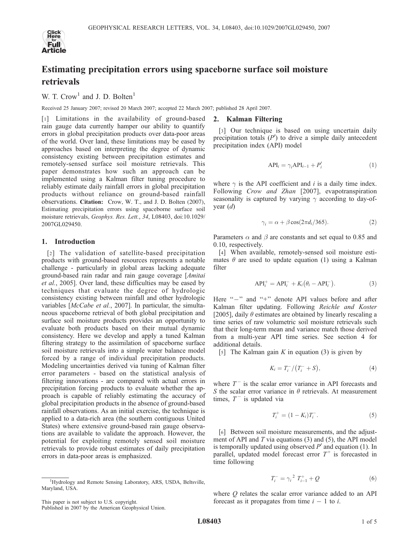

# Estimating precipitation errors using spaceborne surface soil moisture retrievals

W. T.  $Crow<sup>1</sup>$  and J. D. Bolten<sup>1</sup>

Received 25 January 2007; revised 20 March 2007; accepted 22 March 2007; published 28 April 2007.

[1] Limitations in the availability of ground-based rain gauge data currently hamper our ability to quantify errors in global precipitation products over data-poor areas of the world. Over land, these limitations may be eased by approaches based on interpreting the degree of dynamic consistency existing between precipitation estimates and remotely-sensed surface soil moisture retrievals. This paper demonstrates how such an approach can be implemented using a Kalman filter tuning procedure to reliably estimate daily rainfall errors in global precipitation products without reliance on ground-based rainfall observations. Citation: Crow, W. T., and J. D. Bolten (2007), Estimating precipitation errors using spaceborne surface soil moisture retrievals, Geophys. Res. Lett., 34, L08403, doi:10.1029/ 2007GL029450.

# 1. Introduction

[2] The validation of satellite-based precipitation products with ground-based resources represents a notable challenge - particularly in global areas lacking adequate ground-based rain radar and rain gauge coverage [Amitai et al., 2005]. Over land, these difficulties may be eased by techniques that evaluate the degree of hydrologic consistency existing between rainfall and other hydrologic variables [McCabe et al., 2007]. In particular, the simultaneous spaceborne retrieval of both global precipitation and surface soil moisture products provides an opportunity to evaluate both products based on their mutual dynamic consistency. Here we develop and apply a tuned Kalman filtering strategy to the assimilation of spaceborne surface soil moisture retrievals into a simple water balance model forced by a range of individual precipitation products. Modeling uncertainties derived via tuning of Kalman filter error parameters - based on the statistical analysis of filtering innovations - are compared with actual errors in precipitation forcing products to evaluate whether the approach is capable of reliably estimating the accuracy of global precipitation products in the absence of ground-based rainfall observations. As an initial exercise, the technique is applied to a data-rich area (the southern contiguous United States) where extensive ground-based rain gauge observations are available to validate the approach. However, the potential for exploiting remotely sensed soil moisture retrievals to provide robust estimates of daily precipitation errors in data-poor areas is emphasized.

# 2. Kalman Filtering

[3] Our technique is based on using uncertain daily precipitation totals  $(P')$  to drive a simple daily antecedent precipitation index (API) model

$$
API_i = \gamma_i API_{i-1} + P'_i \tag{1}
$$

where  $\gamma$  is the API coefficient and *i* is a daily time index. Following Crow and Zhan [2007], evapotranspiration seasonality is captured by varying  $\gamma$  according to day-ofyear (d)

$$
\gamma_i = \alpha + \beta \cos(2\pi d_i / 365). \tag{2}
$$

Parameters  $\alpha$  and  $\beta$  are constants and set equal to 0.85 and 0.10, respectively.

[4] When available, remotely-sensed soil moisture estimates  $\theta$  are used to update equation (1) using a Kalman filter

$$
API_i^+ = API_i^- + K_i(\theta_i - API_i^-).
$$
 (3)

Here "-" and "+" denote API values before and after Kalman filter updating. Following Reichle and Koster [2005], daily  $\theta$  estimates are obtained by linearly rescaling a time series of raw volumetric soil moisture retrievals such that their long-term mean and variance match those derived from a multi-year API time series. See section 4 for additional details.

[5] The Kalman gain K in equation (3) is given by

$$
K_i = T_i^- / (T_i^- + S), \tag{4}
$$

where  $T<sup>-</sup>$  is the scalar error variance in API forecasts and S the scalar error variance in  $\theta$  retrievals. At measurement times,  $T^-$  is updated via

$$
T_i^+ = (1 - K_i)T_i^-.
$$
 (5)

[6] Between soil moisture measurements, and the adjustment of API and  $T$  via equations (3) and (5), the API model is temporally updated using observed  $P'$  and equation (1). In parallel, updated model forecast error  $T^+$  is forecasted in time following

$$
T_i^- = \gamma_i^2 T_{i-1}^+ + Q \tag{6}
$$

where O relates the scalar error variance added to an API forecast as it propagates from time  $i - 1$  to i.

This paper is not subject to U.S. copyright. Published in 2007 by the American Geophysical Union.

<sup>&</sup>lt;sup>1</sup>Hydrology and Remote Sensing Laboratory, ARS, USDA, Beltsville, Maryland, USA.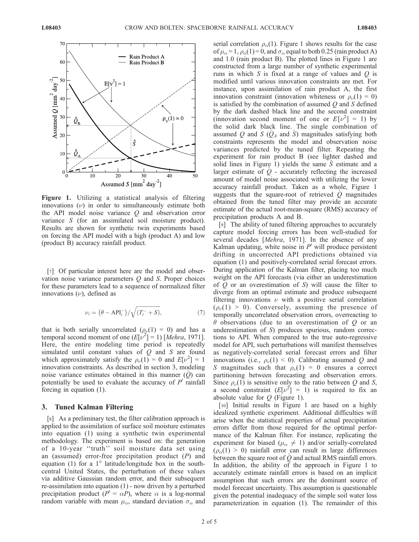

Figure 1. Utilizing a statistical analysis of filtering innovations  $(\nu)$  in order to simultaneously estimate both the API model noise variance Q and observation error variance S (for an assimilated soil moisture product). Results are shown for synthetic twin experiments based on forcing the API model with a high (product A) and low (product B) accuracy rainfall product.

[7] Of particular interest here are the model and observation noise variance parameters  $Q$  and  $S$ . Proper choices for these parameters lead to a sequence of normalized filter innovations  $(\nu)$ , defined as

$$
\nu_i = (\theta - API_i^-)/\sqrt{(T_i^- + S)}, \tag{7}
$$

that is both serially uncorrelated  $(\rho_{\nu}(1) = 0)$  and has a temporal second moment of one  $(E[\nu^2] = 1)$  [Mehra, 1971]. Here, the entire modeling time period is repeatedly simulated until constant values of  $Q$  and  $S$  are found which approximately satisfy the  $\rho_{\nu}(1) = 0$  and  $E[\nu^2] = 1$ innovation constraints. As described in section 3, modeling noise variance estimates obtained in this manner  $(Q)$  can potentially be used to evaluate the accuracy of  $P'$  rainfall forcing in equation (1).

## 3. Tuned Kalman Filtering

[8] As a preliminary test, the filter calibration approach is applied to the assimilation of surface soil moisture estimates into equation (1) using a synthetic twin experimental methodology. The experiment is based on: the generation of a 10-year ''truth'' soil moisture data set using an (assumed) error-free precipitation product  $(P)$  and equation (1) for a  $1^{\circ}$  latitude/longitude box in the southcentral United States, the perturbation of these values via additive Gaussian random error, and their subsequent re-assimilation into equation (1) - now driven by a perturbed precipitation product  $(P' = \alpha P)$ , where  $\alpha$  is a log-normal random variable with mean  $\mu_{\alpha}$ , standard deviation  $\sigma_{\alpha}$  and serial correlation  $\rho_{\alpha}(1)$ . Figure 1 shows results for the case of  $\mu_{\alpha} = 1$ ,  $\rho_{\alpha}(1) = 0$ , and  $\sigma_{\alpha}$  equal to both 0.25 (rain product A) and 1.0 (rain product B). The plotted lines in Figure 1 are constructed from a large number of synthetic experimental runs in which  $S$  is fixed at a range of values and  $O$  is modified until various innovation constraints are met. For instance, upon assimilation of rain product A, the first innovation constraint (innovation whiteness or  $\rho_{\nu}(1) = 0$ ) is satisfied by the combination of assumed  $Q$  and  $S$  defined by the dark dashed black line and the second constraint (innovation second moment of one or  $E[\nu^2] = 1$ ) by the solid dark black line. The single combination of assumed Q and S  $(Q_A$  and S) magnitudes satisfying both constraints represents the model and observation noise variances predicted by the tuned filter. Repeating the experiment for rain product B (see lighter dashed and solid lines in Figure 1) yields the same S estimate and a larger estimate of  $Q$  - accurately reflecting the increased amount of model noise associated with utilizing the lower accuracy rainfall product. Taken as a whole, Figure 1 suggests that the square-root of retrieved  $Q$  magnitudes obtained from the tuned filter may provide an accurate estimate of the actual root-mean-square (RMS) accuracy of precipitation products A and B.

[9] The ability of tuned filtering approaches to accurately capture model forcing errors has been well-studied for several decades [Mehra, 1971]. In the absence of any Kalman updating, white noise in  $P'$  will produce persistent drifting in uncorrected API predictions obtained via equation (1) and positively-correlated serial forecast errors. During application of the Kalman filter, placing too much weight on the API forecasts (via either an underestimation of  $Q$  or an overestimation of  $S$ ) will cause the filter to diverge from an optimal estimate and produce subsequent filtering innovations  $\nu$  with a positive serial correlation  $(\rho_{\nu}(1) > 0)$ . Conversely, assuming the presence of temporally uncorrelated observation errors, overreacting to  $\theta$  observations (due to an overestimation of Q or an underestimation of S) produces spurious, random corrections to API. When compared to the true auto-regressive model for API, such perturbations will manifest themselves as negatively-correlated serial forecast errors and filter innovations (i.e.,  $\rho_{\nu}(1) < 0$ ). Calibrating assumed Q and S magnitudes such that  $\rho_{\nu}(1) = 0$  ensures a correct partitioning between forecasting and observation errors. Since  $\rho_{\nu}(1)$  is sensitive only to the ratio between Q and S, a second constraint  $(E[\nu^2] = 1)$  is required to fix an absolute value for  $Q$  (Figure 1).

[10] Initial results in Figure 1 are based on a highly idealized synthetic experiment. Additional difficulties will arise when the statistical properties of actual precipitation errors differ from those required for the optimal performance of the Kalman filter. For instance, replicating the experiment for biased ( $\mu_{\alpha} \neq 1$ ) and/or serially-correlated  $(\rho_{\alpha}(1) > 0)$  rainfall error can result in large differences between the square root of  $\hat{Q}$  and actual RMS rainfall errors. In addition, the ability of the approach in Figure 1 to accurately estimate rainfall errors is based on an implicit assumption that such errors are the dominant source of model forecast uncertainty. This assumption is questionable given the potential inadequacy of the simple soil water loss parameterization in equation (1). The remainder of this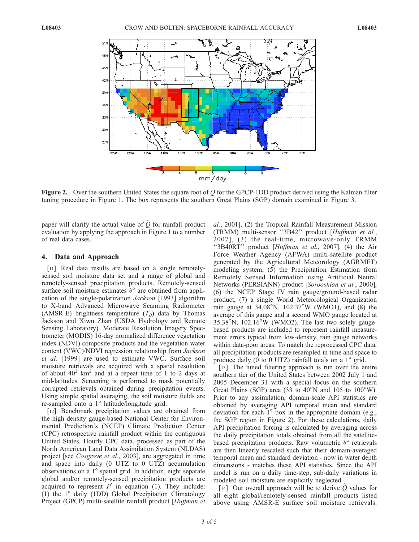

Figure 2. Over the southern United States the square root of  $\hat{Q}$  for the GPCP-1DD product derived using the Kalman filter tuning procedure in Figure 1. The box represents the southern Great Plains (SGP) domain examined in Figure 3.

paper will clarify the actual value of  $\hat{Q}$  for rainfall product evaluation by applying the approach in Figure 1 to a number of real data cases.

## 4. Data and Approach

[11] Real data results are based on a single remotelysensed soil moisture data set and a range of global and remotely-sensed precipitation products. Remotely-sensed surface soil moisture estimates  $\theta^{\circ}$  are obtained from application of the single-polarization Jackson [1993] algorithm to X-band Advanced Microwave Scanning Radiometer (AMSR-E) brightness temperature  $(T_B)$  data by Thomas Jackson and Xiwu Zhan (USDA Hydrology and Remote Sensing Laboratory). Moderate Resolution Imagery Spectrometer (MODIS) 16-day normalized difference vegetation index (NDVI) composite products and the vegetation water content (VWC)/NDVI regression relationship from Jackson et al. [1999] are used to estimate VWC. Surface soil moisture retrievals are acquired with a spatial resolution of about  $40^2$  km<sup>2</sup> and at a repeat time of 1 to 2 days at mid-latitudes. Screening is performed to mask potentially corrupted retrievals obtained during precipitation events. Using simple spatial averaging, the soil moisture fields are re-sampled onto a  $1^\circ$  latitude/longitude grid.

[12] Benchmark precipitation values are obtained from the high density gauge-based National Center for Environmental Prediction's (NCEP) Climate Prediction Center (CPC) retrospective rainfall product within the contiguous United States. Hourly CPC data, processed as part of the North American Land Data Assimilation System (NLDAS) project [see Cosgrove et al., 2003], are aggregated in time and space into daily (0 UTZ to 0 UTZ) accumulation observations on a  $1^\circ$  spatial grid. In addition, eight separate global and/or remotely-sensed precipitation products are acquired to represent  $P'$  in equation (1). They include: (1) the  $1^\circ$  daily (1DD) Global Precipitation Climatology Project (GPCP) multi-satellite rainfall product [Huffman et al., 2001], (2) the Tropical Rainfall Measurement Mission (TRMM) multi-sensor ''3B42'' product [Huffman et al., 2007], (3) the real-time, microwave-only TRMM "3B40RT" product [Huffman et al., 2007], (4) the Air Force Weather Agency (AFWA) multi-satellite product generated by the Agricultural Meteorology (AGRMET) modeling system, (5) the Precipitation Estimation from Remotely Sensed Information using Artificial Neural Networks (PERSIANN) product [Sorooshian et al., 2000], (6) the NCEP Stage IV rain gauge/ground-based radar product, (7) a single World Meteorological Organization rain gauge at  $34.08^{\circ}$ N,  $102.37^{\circ}$ W (WMO1), and (8) the average of this gauge and a second WMO gauge located at  $35.38^{\circ}$ N,  $102.16^{\circ}$ W (WMO2). The last two solely gaugebased products are included to represent rainfall measurement errors typical from low-density, rain gauge networks within data-poor areas. To match the reprocessed CPC data, all precipitation products are resampled in time and space to produce daily (0 to 0 UTZ) rainfall totals on a  $1^\circ$  grid.

[13] The tuned filtering approach is run over the entire southern tier of the United States between 2002 July 1 and 2005 December 31 with a special focus on the southern Great Plains (SGP) area (33 to  $40^{\circ}$ N and 105 to  $100^{\circ}$ W). Prior to any assimilation, domain-scale API statistics are obtained by averaging API temporal mean and standard deviation for each  $1^{\circ}$  box in the appropriate domain (e.g., the SGP region in Figure 2). For these calculations, daily API precipitation forcing is calculated by averaging across the daily precipitation totals obtained from all the satellitebased precipitation products. Raw volumetric  $\theta$ <sup>o</sup> retrievals are then linearly rescaled such that their domain-averaged temporal mean and standard deviation - now in water depth dimensions - matches these API statistics. Since the API model is run on a daily time-step, sub-daily variations in modeled soil moisture are explicitly neglected.

[14] Our overall approach will be to derive  $\ddot{\mathcal{O}}$  values for all eight global/remotely-sensed rainfall products listed above using AMSR-E surface soil moisture retrievals.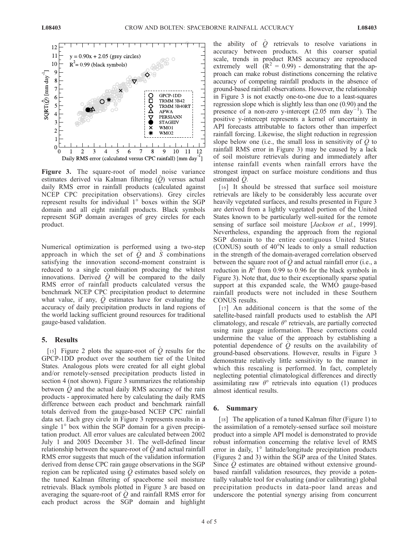

Figure 3. The square-root of model noise variance estimates derived via Kalman filtering  $(Q)$  versus actual daily RMS error in rainfall products (calculated against NCEP CPC precipitation observations). Grey circles represent results for individual  $1^\circ$  boxes within the SGP domain and all eight rainfall products. Black symbols represent SGP domain averages of grey circles for each product.

Numerical optimization is performed using a two-step approach in which the set of  $O$  and  $S$  combinations satisfying the innovation second-moment constraint is reduced to a single combination producing the whitest innovations. Derived  $\hat{Q}$  will be compared to the daily RMS error of rainfall products calculated versus the benchmark NCEP CPC precipitation product to determine what value, if any,  $Q$  estimates have for evaluating the accuracy of daily precipitation products in land regions of the world lacking sufficient ground resources for traditional gauge-based validation.

## 5. Results

[15] Figure 2 plots the square-root of  $\hat{Q}$  results for the GPCP-1DD product over the southern tier of the United States. Analogous plots were created for all eight global and/or remotely-sensed precipitation products listed in section 4 (not shown). Figure 3 summarizes the relationship between  $\ddot{Q}$  and the actual daily RMS accuracy of the rain products - approximated here by calculating the daily RMS difference between each product and benchmark rainfall totals derived from the gauge-based NCEP CPC rainfall data set. Each grey circle in Figure 3 represents results in a single  $1^\circ$  box within the SGP domain for a given precipitation product. All error values are calculated between 2002 July 1 and 2005 December 31. The well-defined linear relationship between the square-root of  $\overline{O}$  and actual rainfall RMS error suggests that much of the validation information derived from dense CPC rain gauge observations in the SGP region can be replicated using  $\ddot{Q}$  estimates based solely on the tuned Kalman filtering of spaceborne soil moisture retrievals. Black symbols plotted in Figure 3 are based on averaging the square-root of  $Q$  and rainfall RMS error for each product across the SGP domain and highlight

the ability of  $\ddot{Q}$  retrievals to resolve variations in accuracy between products. At this coarser spatial scale, trends in product RMS accuracy are reproduced extremely well  $(R^2 = 0.99)$  - demonstrating that the approach can make robust distinctions concerning the relative accuracy of competing rainfall products in the absence of ground-based rainfall observations. However, the relationship in Figure 3 is not exactly one-to-one due to a least-squares regression slope which is slightly less than one (0.90) and the presence of a non-zero y-intercept  $(2.05 \text{ mm day}^{-1})$  $\,$ <sup>1</sup>). The positive y-intercept represents a kernel of uncertainty in API forecasts attributable to factors other than imperfect rainfall forcing. Likewise, the slight reduction in regression slope below one (i.e., the small loss in sensitivity of  $\hat{Q}$  to rainfall RMS error in Figure 3) may be caused by a lack of soil moisture retrievals during and immediately after intense rainfall events when rainfall errors have the strongest impact on surface moisture conditions and thus estimated  $Q$ .

[16] It should be stressed that surface soil moisture retrievals are likely to be considerably less accurate over heavily vegetated surfaces, and results presented in Figure 3 are derived from a lightly vegetated portion of the United States known to be particularly well-suited for the remote sensing of surface soil moisture [*Jackson et al.*, 1999]. Nevertheless, expanding the approach from the regional SGP domain to the entire contiguous United States (CONUS) south of  $40^{\circ}$ N leads to only a small reduction in the strength of the domain-averaged correlation observed between the square root of  $\hat{Q}$  and actual rainfall error (i.e., a reduction in  $R^2$  from 0.99 to 0.96 for the black symbols in Figure 3). Note that, due to their exceptionally sparse spatial support at this expanded scale, the WMO gauge-based rainfall products were not included in these Southern CONUS results.

[17] An additional concern is that the some of the satellite-based rainfall products used to establish the API climatology, and rescale  $\theta$ <sup>o</sup> retrievals, are partially corrected using rain gauge information. These corrections could undermine the value of the approach by establishing a potential dependence of  $\hat{Q}$  results on the availability of ground-based observations. However, results in Figure 3 demonstrate relatively little sensitivity to the manner in which this rescaling is performed. In fact, completely neglecting potential climatological differences and directly assimilating raw  $\theta$ ° retrievals into equation (1) produces almost identical results.

## 6. Summary

[18] The application of a tuned Kalman filter (Figure 1) to the assimilation of a remotely-sensed surface soil moisture product into a simple API model is demonstrated to provide robust information concerning the relative level of RMS error in daily,  $1^\circ$  latitude/longitude precipitation products (Figures 2 and 3) within the SGP area of the United States. Since  $Q$  estimates are obtained without extensive groundbased rainfall validation resources, they provide a potentially valuable tool for evaluating (and/or calibrating) global precipitation products in data-poor land areas and underscore the potential synergy arising from concurrent